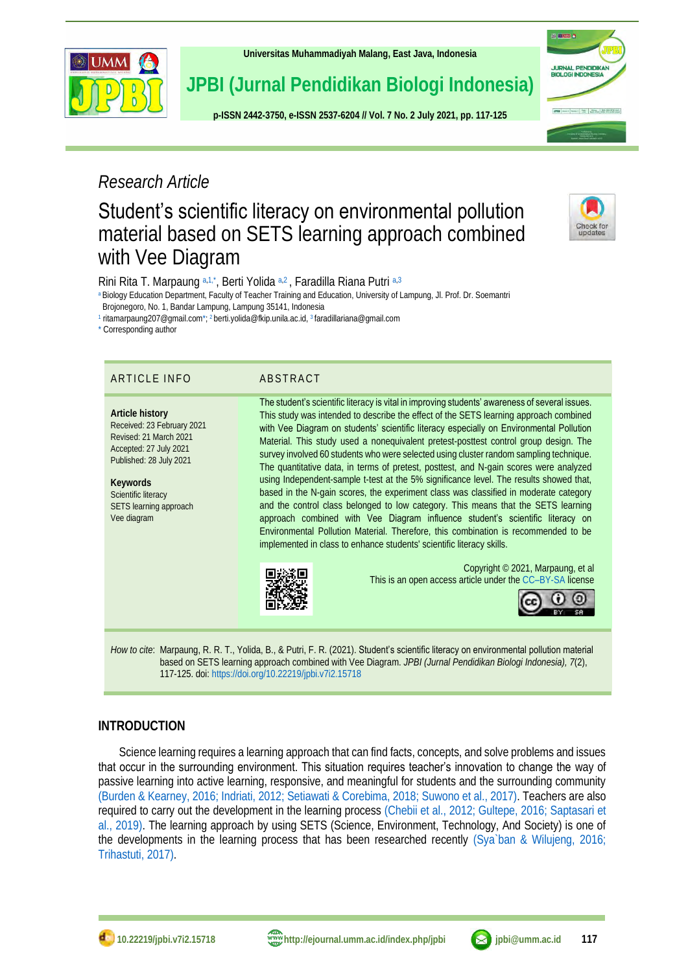

**[Universitas Muhammadiyah Malang,](http://ejournal.umm.ac.id/) East Java, Indonesia**

# **JPBI (Jurnal Pendidikan Biologi Indonesia)**

**p-ISSN [2442-3750,](http://u.lipi.go.id/1422867894) e-ISSN [2537-6204](http://u.lipi.go.id/1460300524) // Vol. 7 No. 2 July 2021, pp. 117-125**



Check for

# *Research Article*

# Student's scientific literacy on environmental pollution material based on SETS learning approach combined with Vee Diagram

Rini Rita T. Marpaung [a,](#page-0-0)[1,](#page-0-1)[\\*](#page-0-2), Berti Yolida a,[2](#page-0-3), Faradilla Riana Putri a,[3](#page-0-4)

<span id="page-0-0"></span><sup>a</sup> Biology Education Department, Faculty of Teacher Training and Education, University of Lampung, Jl. Prof. Dr. Soemantri

Brojonegoro, No. 1, Bandar Lampung, Lampung 35141, Indonesia

<span id="page-0-1"></span>1 ritamarpaung207@gmail.co[m\\*;](#page-0-2) <sup>2</sup> berti.yolida@fkip.unila.ac.id, <sup>3</sup> faradillariana@gmail.com

<span id="page-0-2"></span>\* Corresponding author

# ARTICLE INFO ABSTRACT

#### **Article history** Received: 23 February 2021 Revised: 21 March 2021 Accepted: 27 July 2021 Published: 28 July 2021

**Keywords** Scientific literacy SETS learning approach Vee diagram

<span id="page-0-4"></span><span id="page-0-3"></span>The student's scientific literacy is vital in improving students' awareness of several issues. This study was intended to describe the effect of the SETS learning approach combined with Vee Diagram on students' scientific literacy especially on Environmental Pollution Material. This study used a nonequivalent pretest-posttest control group design. The survey involved 60 students who were selected using cluster random sampling technique. The quantitative data, in terms of pretest, posttest, and N-gain scores were analyzed using Independent-sample t-test at the 5% significance level. The results showed that, based in the N-gain scores, the experiment class was classified in moderate category and the control class belonged to low category. This means that the SETS learning approach combined with Vee Diagram influence student's scientific literacy on Environmental Pollution Material. Therefore, this combination is recommended to be

implemented in class to enhance students' scientific literacy skills.



Copyright © 2021, Marpaung, et al This is an open access article under the CC–[BY-SA](http://creativecommons.org/licenses/by-sa/4.0/) license



*How to cite*: Marpaung, R. R. T., Yolida, B., & Putri, F. R. (2021). Student's scientific literacy on environmental pollution material based on SETS learning approach combined with Vee Diagram. *JPBI (Jurnal Pendidikan Biologi Indonesia), 7*(2), 117-125. doi[: https://doi.org/10.22219/jpbi.v7i2.15718](https://doi.org/10.22219/jpbi.v7i2.15718)

# **INTRODUCTION**

Science learning requires a learning approach that can find facts, concepts, and solve problems and issues that occur in the surrounding environment. This situation requires teacher's innovation to change the way of passive learning into active learning, responsive, and meaningful for students and the surrounding community [\(Burden & Kearney, 2016;](#page-6-0) [Indriati, 2012;](#page-7-0) [Setiawati & Corebima, 2018;](#page-7-1) [Suwono et al., 2017\).](#page-8-0) Teachers are also required to carry out the development in the learning process [\(Chebii et al., 2012;](#page-6-1) [Gultepe, 2016;](#page-6-2) [Saptasari et](#page-7-2)  [al., 2019\).](#page-7-2) The learning approach by using SETS (Science, Environment, Technology, And Society) is one of the developments in the learning process that has been researched recently [\(Sya`ban & Wilujeng, 2016;](#page-8-1) [Trihastuti, 2017\).](#page-8-2)

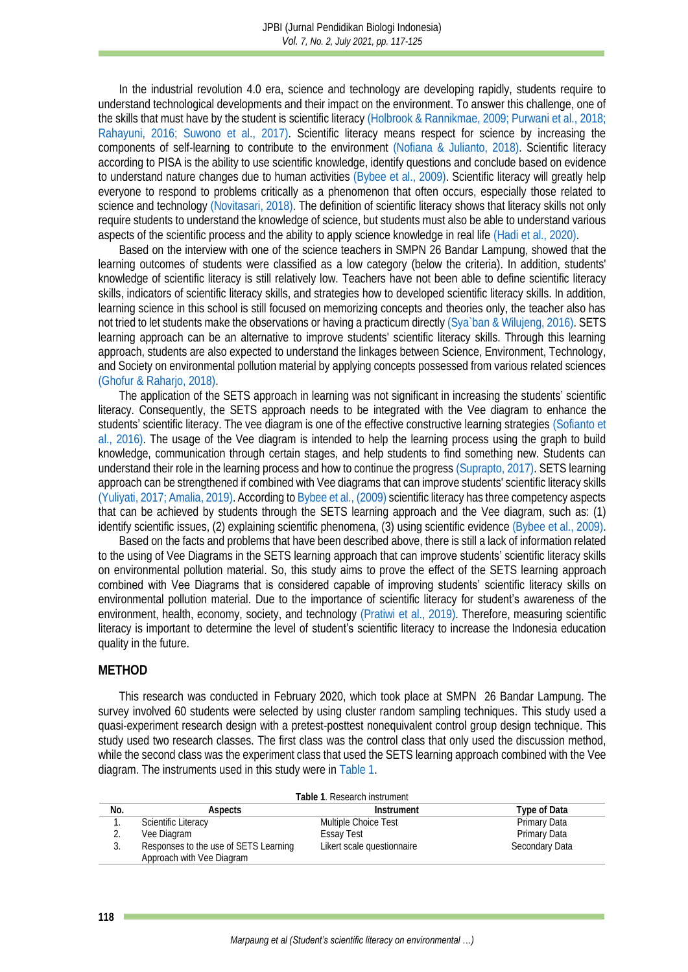In the industrial revolution 4.0 era, science and technology are developing rapidly, students require to understand technological developments and their impact on the environment. To answer this challenge, one of the skills that must have by the student is scientific literacy [\(Holbrook & Rannikmae, 2009;](#page-7-3) [Purwani et al., 2018;](#page-7-4) [Rahayuni, 2016;](#page-7-5) [Suwono et al., 2017\).](#page-8-0) Scientific literacy means respect for science by increasing the components of self-learning to contribute to the environment [\(Nofiana & Julianto, 2018\).](#page-7-6) Scientific literacy according to PISA is the ability to use scientific knowledge, identify questions and conclude based on evidence to understand nature changes due to human activities [\(Bybee et al., 2009\).](#page-6-3) Scientific literacy will greatly help everyone to respond to problems critically as a phenomenon that often occurs, especially those related to science and technology [\(Novitasari, 2018\).](#page-7-7) The definition of scientific literacy shows that literacy skills not only require students to understand the knowledge of science, but students must also be able to understand various aspects of the scientific process and the ability to apply science knowledge in real life [\(Hadi et al., 2020\).](#page-7-8)

Based on the interview with one of the science teachers in SMPN 26 Bandar Lampung, showed that the learning outcomes of students were classified as a low category (below the criteria). In addition, students' knowledge of scientific literacy is still relatively low. Teachers have not been able to define scientific literacy skills, indicators of scientific literacy skills, and strategies how to developed scientific literacy skills. In addition, learning science in this school is still focused on memorizing concepts and theories only, the teacher also has not tried to let students make the observations or having a practicum directly [\(Sya`ban & Wilujeng, 2016\).](#page-8-1) SETS learning approach can be an alternative to improve students' scientific literacy skills. Through this learning approach, students are also expected to understand the linkages between Science, Environment, Technology, and Society on environmental pollution material by applying concepts possessed from various related sciences [\(Ghofur & Raharjo, 2018\).](#page-6-4)

The application of the SETS approach in learning was not significant in increasing the students' scientific literacy. Consequently, the SETS approach needs to be integrated with the Vee diagram to enhance the students' scientific literacy. The vee diagram is one of the effective constructive learning strategies [\(Sofianto et](#page-8-3)  al., 2016). The usage of the Vee diagram is intended to help the learning process using the graph to build knowledge, communication through certain stages, and help students to find something new. Students can understand their role in the learning process and how to continue the progres[s \(Suprapto, 2017\).](#page-7-9) SETS learning approach can be strengthened if combined with Vee diagrams that can improve students' scientific literacy skills [\(Yuliyati, 2017;](#page-8-4) [Amalia, 2019\).](#page-6-5) According t[o Bybee et al., \(2009\)](#page-6-3) scientific literacy has three competency aspects that can be achieved by students through the SETS learning approach and the Vee diagram, such as: (1) identify scientific issues, (2) explaining scientific phenomena, (3) using scientific evidence [\(Bybee et al., 2009\).](#page-6-3)

Based on the facts and problems that have been described above, there is still a lack of information related to the using of Vee Diagrams in the SETS learning approach that can improve students' scientific literacy skills on environmental pollution material. So, this study aims to prove the effect of the SETS learning approach combined with Vee Diagrams that is considered capable of improving students' scientific literacy skills on environmental pollution material. Due to the importance of scientific literacy for **student's** awareness of the environment, health, economy, society, and technology [\(Pratiwi et al., 2019\).](#page-7-10) Therefore, measuring scientific literacy is important to determine the level of **student's** scientific literacy to increase the Indonesia education quality in the future.

#### **METHOD**

This research was conducted in February 2020, which took place at SMPN 26 Bandar Lampung. The survey involved 60 students were selected by using cluster random sampling techniques. This study used a quasi-experiment research design with a pretest-posttest nonequivalent control group design technique. This study used two research classes. The first class was the control class that only used the discussion method, while the second class was the experiment class that used the SETS learning approach combined with the Vee diagram. The instruments used in this study were [in Table 1.](#page-1-0)

<span id="page-1-0"></span>

| Table 1. Research instrument |                                       |                            |                |  |  |  |  |  |
|------------------------------|---------------------------------------|----------------------------|----------------|--|--|--|--|--|
| No.                          | Aspects                               | Instrument                 | Type of Data   |  |  |  |  |  |
|                              | Scientific Literacy                   | Multiple Choice Test       | Primary Data   |  |  |  |  |  |
|                              | Vee Diagram                           | Essay Test                 | Primary Data   |  |  |  |  |  |
|                              | Responses to the use of SETS Learning | Likert scale questionnaire | Secondary Data |  |  |  |  |  |
|                              | Approach with Vee Diagram             |                            |                |  |  |  |  |  |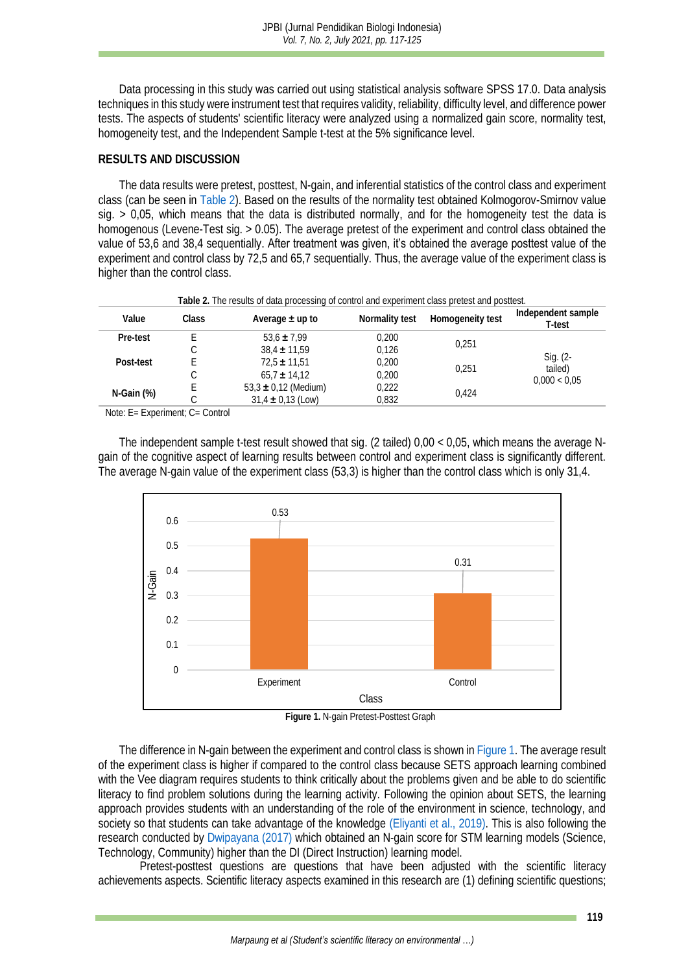Data processing in this study was carried out using statistical analysis software SPSS 17.0. Data analysis techniques in this study were instrument test that requires validity, reliability, difficulty level, and difference power tests. The aspects of students' scientific literacy were analyzed using a normalized gain score, normality test, homogeneity test, and the Independent Sample t-test at the 5% significance level.

#### **RESULTS AND DISCUSSION**

The data results were pretest, posttest, N-gain, and inferential statistics of the control class and experiment class (can be seen in [Table 2\)](#page-2-0). Based on the results of the normality test obtained Kolmogorov-Smirnov value sig.  $> 0.05$ , which means that the data is distributed normally, and for the homogeneity test the data is homogenous (Levene-Test sig. > 0.05). The average pretest of the experiment and control class obtained the value of 53,6 and 38,4 sequentially. After treatment was given, it's obtained the average posttest value of the experiment and control class by 72,5 and 65,7 sequentially. Thus, the average value of the experiment class is higher than the control class.

<span id="page-2-0"></span>

| Table 2. The results of data processing of control and experiment class pretest and positest. |       |                          |                |                  |                                     |  |
|-----------------------------------------------------------------------------------------------|-------|--------------------------|----------------|------------------|-------------------------------------|--|
| Value                                                                                         | Class | Average $\pm$ up to      | Normality test | Homogeneity test | Independent sample<br>T-test        |  |
| Pre-test                                                                                      |       | $53.6 \pm 7.99$          | 0,200          |                  |                                     |  |
|                                                                                               |       | $38.4 \pm 11.59$         | 0.126          | 0.251            | Sig. (2-<br>tailed)<br>0.000 < 0.05 |  |
| Post-test                                                                                     |       | $72.5 \pm 11.51$         | 0,200          | 0.251            |                                     |  |
|                                                                                               |       | $65.7 \pm 14.12$         | 0.200          |                  |                                     |  |
|                                                                                               |       | $53,3 \pm 0,12$ (Medium) | 0,222          | 0.424            |                                     |  |
| N-Gain (%)                                                                                    |       | $31.4 \pm 0.13$ (Low)    | 0,832          |                  |                                     |  |

**Table 2.** The results of data processing of control and experiment class pretest and posttest.

Note: E= Experiment; C= Control

The independent sample t-test result showed that sig. (2 tailed) 0,00 < 0,05, which means the average Ngain of the cognitive aspect of learning results between control and experiment class is significantly different. The average N-gain value of the experiment class (53,3) is higher than the control class which is only 31,4.





<span id="page-2-1"></span>The difference in N-gain between the experiment and control class is shown i[n Figure 1.](#page-2-1) The average result of the experiment class is higher if compared to the control class because SETS approach learning combined with the Vee diagram requires students to think critically about the problems given and be able to do scientific literacy to find problem solutions during the learning activity. Following the opinion about SETS, the learning approach provides students with an understanding of the role of the environment in science, technology, and society so that students can take advantage of the knowledge [\(Eliyanti et al., 2019\).](#page-6-6) This is also following the research conducted by [Dwipayana \(2017\)](#page-6-7) which obtained an N-gain score for STM learning models (Science, Technology, Community) higher than the DI (Direct Instruction) learning model.

Pretest-posttest questions are questions that have been adjusted with the scientific literacy achievements aspects. Scientific literacy aspects examined in this research are (1) defining scientific questions;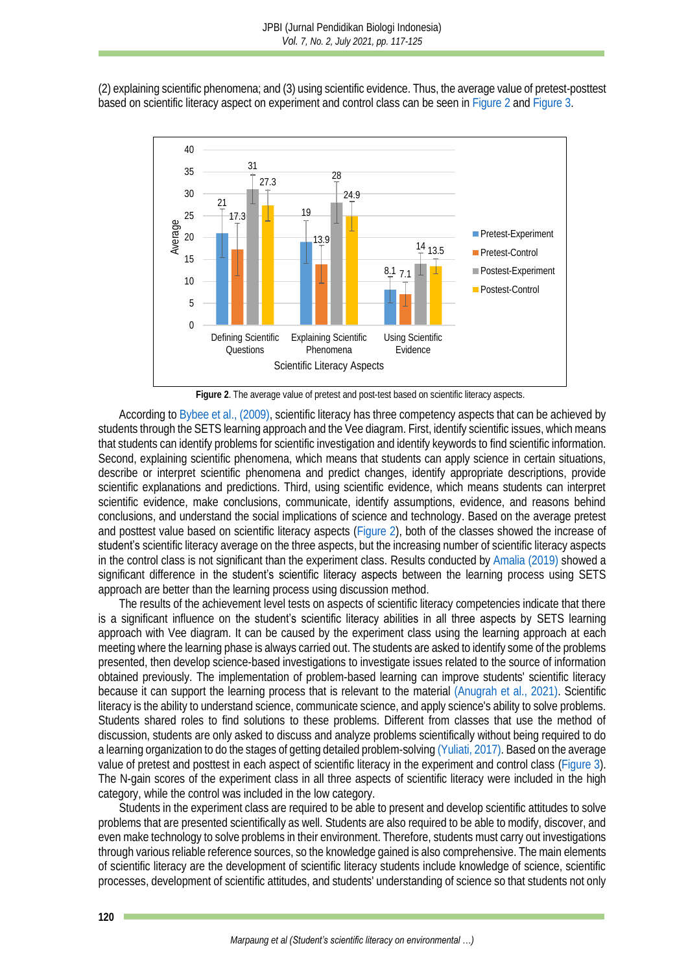(2) explaining scientific phenomena; and (3) using scientific evidence. Thus, the average value of pretest-posttest based on scientific literacy aspect on experiment and control class can be seen in [Figure 2](#page-3-0) an[d Figure 3.](#page-4-0)



**Figure 2**. The average value of pretest and post-test based on scientific literacy aspects.

<span id="page-3-0"></span>According t[o Bybee et al., \(2009\),](#page-6-3) scientific literacy has three competency aspects that can be achieved by students through the SETS learning approach and the Vee diagram. First, identify scientific issues, which means that students can identify problems for scientific investigation and identify keywords to find scientific information. Second, explaining scientific phenomena, which means that students can apply science in certain situations, describe or interpret scientific phenomena and predict changes, identify appropriate descriptions, provide scientific explanations and predictions. Third, using scientific evidence, which means students can interpret scientific evidence, make conclusions, communicate, identify assumptions, evidence, and reasons behind conclusions, and understand the social implications of science and technology. Based on the average pretest and posttest value based on scientific literacy aspects [\(Figure 2\)](#page-3-0), both of the classes showed the increase of student's scientific literacy average on the three aspects, but the increasing number of scientific literacy aspects in the control class is not significant than the experiment class. Results conducted by [Amalia \(2019\)](#page-6-5) showed a significant difference in the student's scientific literacy aspects between the learning process using SETS approach are better than the learning process using discussion method.

The results of the achievement level tests on aspects of scientific literacy competencies indicate that there is a significant influence on the student's scientific literacy abilities in all three aspects by SETS learning approach with Vee diagram. It can be caused by the experiment class using the learning approach at each meeting where the learning phase is always carried out. The students are asked to identify some of the problems presented, then develop science-based investigations to investigate issues related to the source of information obtained previously. The implementation of problem-based learning can improve students' scientific literacy because it can support the learning process that is relevant to the material [\(Anugrah et al., 2021\).](#page-6-8) Scientific literacy is the ability to understand science, communicate science, and apply science's ability to solve problems. Students shared roles to find solutions to these problems. Different from classes that use the method of discussion, students are only asked to discuss and analyze problems scientifically without being required to do a learning organization to do the stages of getting detailed problem-solvin[g \(Yuliati, 2017\).](#page-8-4) Based on the average value of pretest and posttest in each aspect of scientific literacy in the experiment and control class [\(Figure 3\)](#page-4-0). The N-gain scores of the experiment class in all three aspects of scientific literacy were included in the high category, while the control was included in the low category.

Students in the experiment class are required to be able to present and develop scientific attitudes to solve problems that are presented scientifically as well. Students are also required to be able to modify, discover, and even make technology to solve problems in their environment. Therefore, students must carry out investigations through various reliable reference sources, so the knowledge gained is also comprehensive. The main elements of scientific literacy are the development of scientific literacy students include knowledge of science, scientific processes, development of scientific attitudes, and students' understanding of science so that students not only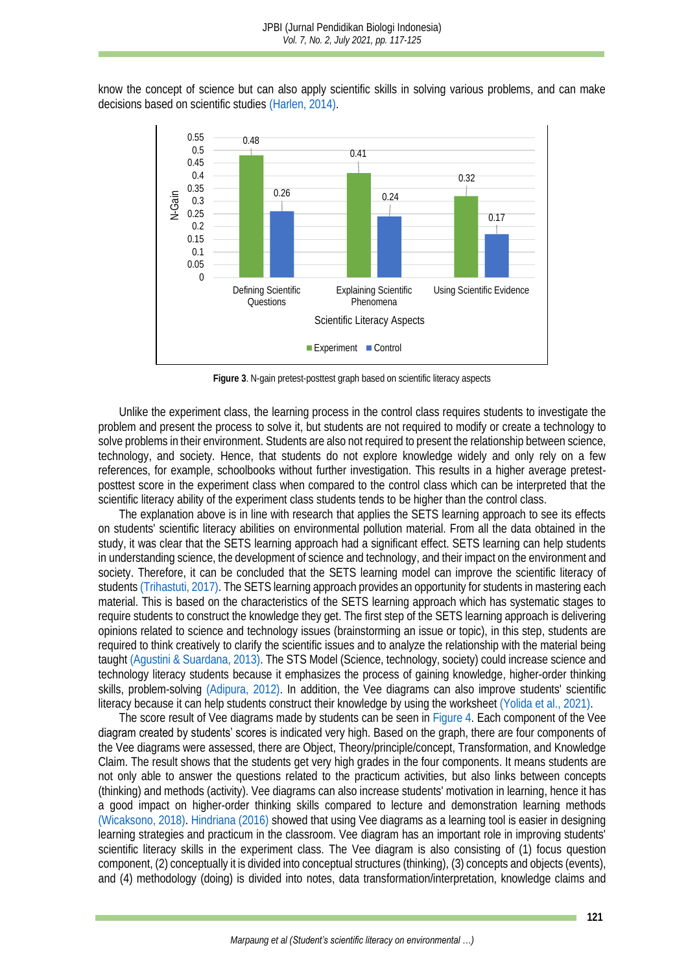know the concept of science but can also apply scientific skills in solving various problems, and can make decisions based on scientific studies [\(Harlen, 2014\).](#page-7-11)



**Figure 3**. N-gain pretest-posttest graph based on scientific literacy aspects

<span id="page-4-0"></span>Unlike the experiment class, the learning process in the control class requires students to investigate the problem and present the process to solve it, but students are not required to modify or create a technology to solve problems in their environment. Students are also not required to present the relationship between science, technology, and society. Hence, that students do not explore knowledge widely and only rely on a few references, for example, schoolbooks without further investigation. This results in a higher average pretestposttest score in the experiment class when compared to the control class which can be interpreted that the scientific literacy ability of the experiment class students tends to be higher than the control class.

The explanation above is in line with research that applies the SETS learning approach to see its effects on students' scientific literacy abilities on environmental pollution material. From all the data obtained in the study, it was clear that the SETS learning approach had a significant effect. SETS learning can help students in understanding science, the development of science and technology, and their impact on the environment and society. Therefore, it can be concluded that the SETS learning model can improve the scientific literacy of students [\(Trihastuti, 2017\).](#page-8-2) The SETS learning approach provides an opportunity for students in mastering each material. This is based on the characteristics of the SETS learning approach which has systematic stages to require students to construct the knowledge they get. The first step of the SETS learning approach is delivering opinions related to science and technology issues (brainstorming an issue or topic), in this step, students are required to think creatively to clarify the scientific issues and to analyze the relationship with the material being taugh[t \(Agustini & Suardana, 2013\).](#page-6-9) The STS Model (Science, technology, society) could increase science and technology literacy students because it emphasizes the process of gaining knowledge, higher-order thinking skills, problem-solving [\(Adipura, 2012\).](#page-6-10) In addition, the Vee diagrams can also improve students' scientific literacy because it can help students construct their knowledge by using the workshee[t \(Yolida et al., 2021\).](#page-8-5)

The score result of Vee diagrams made by students can be seen i[n Figure 4.](#page-5-0) Each component of the Vee diagram created by students' scores is indicated very high. Based on the graph, there are four components of the Vee diagrams were assessed, there are Object, Theory/principle/concept, Transformation, and Knowledge Claim. The result shows that the students get very high grades in the four components. It means students are not only able to answer the questions related to the practicum activities, but also links between concepts (thinking) and methods (activity). Vee diagrams can also increase students' motivation in learning, hence it has a good impact on higher-order thinking skills compared to lecture and demonstration learning methods [\(Wicaksono, 2018\).](#page-8-6) [Hindriana \(2016\)](#page-7-12) showed that using Vee diagrams as a learning tool is easier in designing learning strategies and practicum in the classroom. Vee diagram has an important role in improving students' scientific literacy skills in the experiment class. The Vee diagram is also consisting of (1) focus question component, (2) conceptually it is divided into conceptual structures (thinking), (3) concepts and objects (events), and (4) methodology (doing) is divided into notes, data transformation/interpretation, knowledge claims and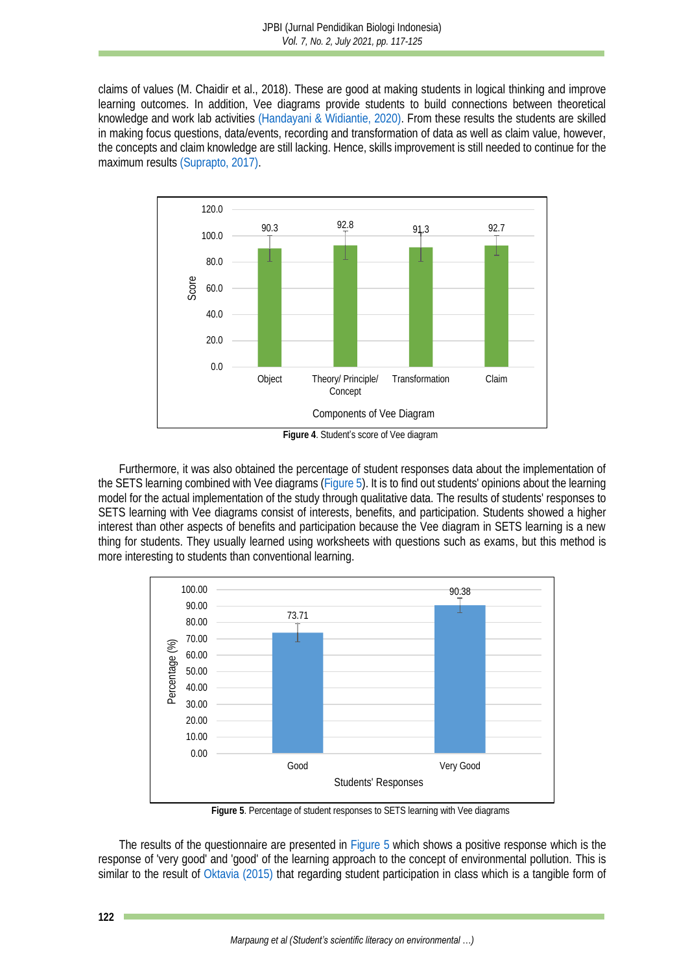claims of values (M. Chaidir et al., 2018). These are good at making students in logical thinking and improve learning outcomes. In addition, Vee diagrams provide students to build connections between theoretical knowledge and work lab activities [\(Handayani & Widiantie, 2020\).](#page-7-13) From these results the students are skilled in making focus questions, data/events, recording and transformation of data as well as claim value, however, the concepts and claim knowledge are still lacking. Hence, skills improvement is still needed to continue for the maximum result[s \(Suprapto, 2017\).](#page-7-9)



<span id="page-5-0"></span>Furthermore, it was also obtained the percentage of student responses data about the implementation of the SETS learning combined with Vee diagrams [\(Figure 5\)](#page-5-1). It is to find out students' opinions about the learning model for the actual implementation of the study through qualitative data. The results of students' responses to SETS learning with Vee diagrams consist of interests, benefits, and participation. Students showed a higher interest than other aspects of benefits and participation because the Vee diagram in SETS learning is a new thing for students. They usually learned using worksheets with questions such as exams, but this method is more interesting to students than conventional learning.



**Figure 5**. Percentage of student responses to SETS learning with Vee diagrams

<span id="page-5-1"></span>The results of the questionnaire are presented in [Figure 5](#page-5-1) which shows a positive response which is the response of 'very good' and 'good' of the learning approach to the concept of environmental pollution. This is similar to the result of [Oktavia \(2015\)](#page-7-14) that regarding student participation in class which is a tangible form of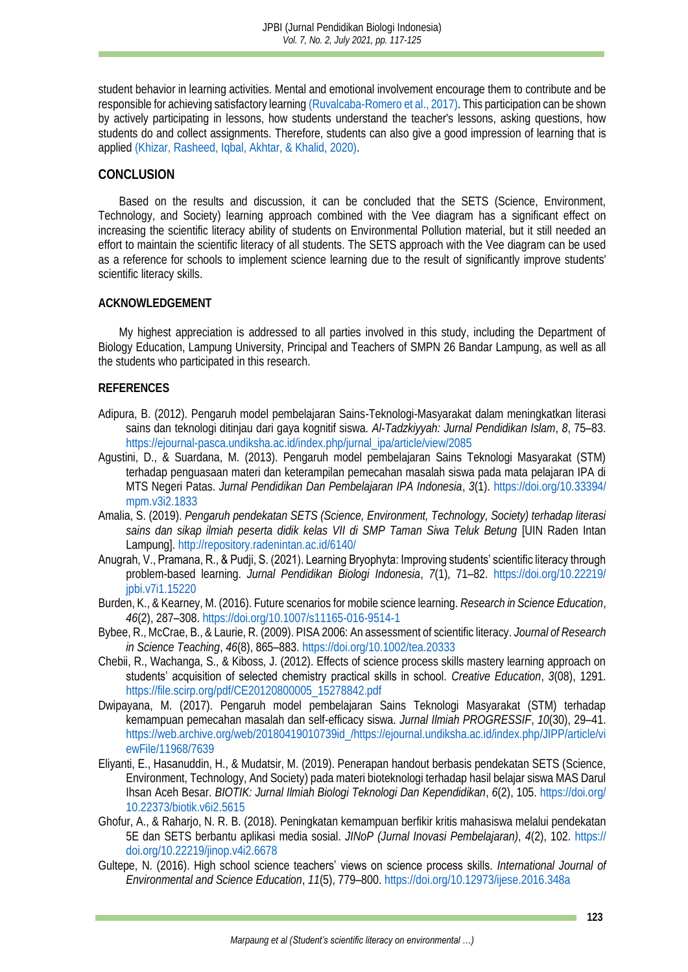student behavior in learning activities. Mental and emotional involvement encourage them to contribute and be responsible for achieving satisfactory learning [\(Ruvalcaba-Romero et al., 2017\).](#page-7-15) This participation can be shown by actively participating in lessons, how students understand the teacher's lessons, asking questions, how students do and collect assignments. Therefore, students can also give a good impression of learning that is applie[d \(Khizar, Rasheed, Iqbal, Akhtar, & Khalid, 2020\).](#page-7-16)

## **CONCLUSION**

Based on the results and discussion, it can be concluded that the SETS (Science, Environment, Technology, and Society) learning approach combined with the Vee diagram has a significant effect on increasing the scientific literacy ability of students on Environmental Pollution material, but it still needed an effort to maintain the scientific literacy of all students. The SETS approach with the Vee diagram can be used as a reference for schools to implement science learning due to the result of significantly improve students' scientific literacy skills.

### **ACKNOWLEDGEMENT**

My highest appreciation is addressed to all parties involved in this study, including the Department of Biology Education, Lampung University, Principal and Teachers of SMPN 26 Bandar Lampung, as well as all the students who participated in this research.

### **REFERENCES**

- <span id="page-6-10"></span>Adipura, B. (2012). Pengaruh model pembelajaran Sains-Teknologi-Masyarakat dalam meningkatkan literasi sains dan teknologi ditinjau dari gaya kognitif siswa. *Al-Tadzkiyyah: Jurnal Pendidikan Islam*, *8*, 75–83. [https://ejournal-pasca.undiksha.ac.id/index.php/jurnal\\_ipa/article/view/2085](https://ejournal-pasca.undiksha.ac.id/index.php/jurnal_ipa/article/view/2085)
- <span id="page-6-9"></span>Agustini, D., & Suardana, M. (2013). Pengaruh model pembelajaran Sains Teknologi Masyarakat (STM) terhadap penguasaan materi dan keterampilan pemecahan masalah siswa pada mata pelajaran IPA di MTS Negeri Patas. *Jurnal Pendidikan Dan Pembelajaran IPA Indonesia*, *3*(1). [https://doi.org/10.33394/](https://doi.org/10.33394/mpm.v3i2.1833) [mpm.v3i2.1833](https://doi.org/10.33394/mpm.v3i2.1833)
- <span id="page-6-5"></span>Amalia, S. (2019). *Pengaruh pendekatan SETS (Science, Environment, Technology, Society) terhadap literasi sains dan sikap ilmiah peserta didik kelas VII di SMP Taman Siwa Teluk Betung* [UIN Raden Intan Lampung].<http://repository.radenintan.ac.id/6140/>
- <span id="page-6-8"></span>Anugrah, V., Pramana, R., & Pudji, S. (2021). Learning Bryophyta: Improving students' scientific literacy through problem-based learning. *Jurnal Pendidikan Biologi Indonesia*, *7*(1), 71–82. [https://doi.org/10.22219/](https://doi.org/10.22219/jpbi.v7i1.15220) [jpbi.v7i1.15220](https://doi.org/10.22219/jpbi.v7i1.15220)
- <span id="page-6-0"></span>Burden, K., & Kearney, M. (2016). Future scenarios for mobile science learning. *Research in Science Education*, *46*(2), 287–308.<https://doi.org/10.1007/s11165-016-9514-1>
- <span id="page-6-3"></span>Bybee, R., McCrae, B., & Laurie, R. (2009). PISA 2006: An assessment of scientific literacy. *Journal of Research in Science Teaching*, *46*(8), 865–883[. https://doi.org/10.1002/tea.20333](https://doi.org/10.1002/tea.20333)
- <span id="page-6-1"></span>Chebii, R., Wachanga, S., & Kiboss, J. (2012). Effects of science process skills mastery learning approach on students' acquisition of selected chemistry practical skills in school. *Creative Education*, *3*(08), 1291. [https://file.scirp.org/pdf/CE20120800005\\_15278842.pdf](https://file.scirp.org/pdf/CE20120800005_15278842.pdf)
- <span id="page-6-7"></span>Dwipayana, M. (2017). Pengaruh model pembelajaran Sains Teknologi Masyarakat (STM) terhadap kemampuan pemecahan masalah dan self-efficacy siswa. *Jurnal Ilmiah PROGRESSIF*, *10*(30), 29–41. [https://web.archive.org/web/20180419010739id\\_/https://ejournal.undiksha.ac.id/index.php/JIPP/article/vi](https://web.archive.org/web/20180419010739id_/https:/ejournal.undiksha.ac.id/index.php/JIPP/article/viewFile/11968/7639) [ewFile/11968/7639](https://web.archive.org/web/20180419010739id_/https:/ejournal.undiksha.ac.id/index.php/JIPP/article/viewFile/11968/7639)
- <span id="page-6-6"></span>Eliyanti, E., Hasanuddin, H., & Mudatsir, M. (2019). Penerapan handout berbasis pendekatan SETS (Science, Environment, Technology, And Society) pada materi bioteknologi terhadap hasil belajar siswa MAS Darul Ihsan Aceh Besar. *BIOTIK: Jurnal Ilmiah Biologi Teknologi Dan Kependidikan*, *6*(2), 105. [https://doi.org/](https://doi.org/10.22373/biotik.v6i2.5615) [10.22373/biotik.v6i2.5615](https://doi.org/10.22373/biotik.v6i2.5615)
- <span id="page-6-4"></span>Ghofur, A., & Raharjo, N. R. B. (2018). Peningkatan kemampuan berfikir kritis mahasiswa melalui pendekatan 5E dan SETS berbantu aplikasi media sosial. *JINoP (Jurnal Inovasi Pembelajaran)*, *4*(2), 102. [https://](https://doi.org/10.22219/jinop.v4i2.6678) [doi.org/10.22219/jinop.v4i2.6678](https://doi.org/10.22219/jinop.v4i2.6678)
- <span id="page-6-2"></span>Gultepe, N. (2016). High school science teachers' views on science process skills. *International Journal of Environmental and Science Education*, *11*(5), 779–800[. https://doi.org/10.12973/ijese.2016.348a](https://doi.org/10.12973/ijese.2016.348a)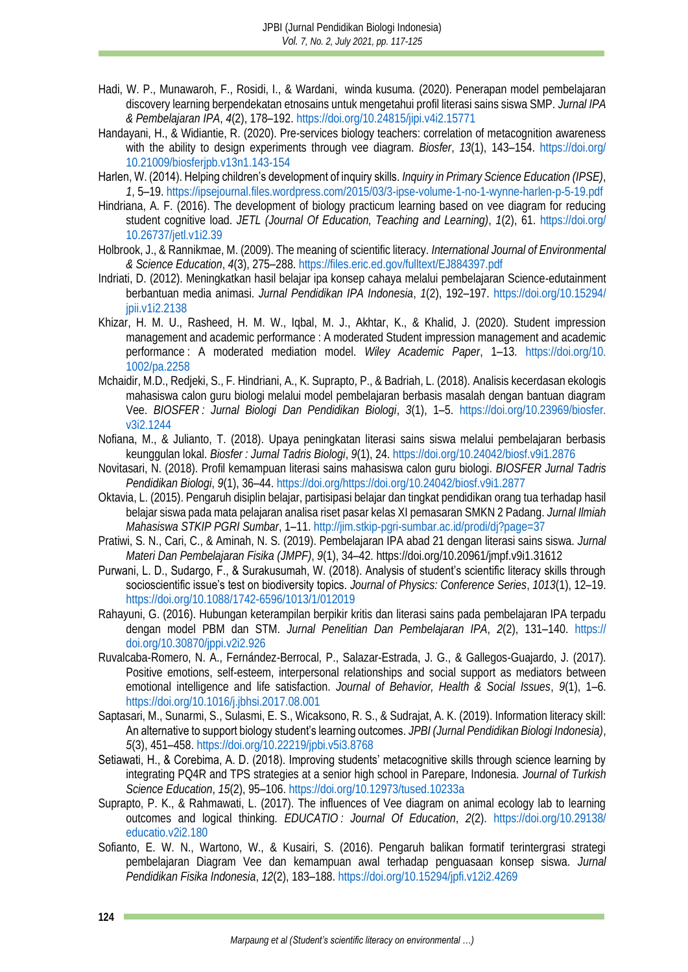- <span id="page-7-8"></span>Hadi, W. P., Munawaroh, F., Rosidi, I., & Wardani, winda kusuma. (2020). Penerapan model pembelajaran discovery learning berpendekatan etnosains untuk mengetahui profil literasi sains siswa SMP. *Jurnal IPA & Pembelajaran IPA*, *4*(2), 178–192[. https://doi.org/10.24815/jipi.v4i2.15771](https://doi.org/10.24815/jipi.v4i2.15771)
- <span id="page-7-13"></span>Handayani, H., & Widiantie, R. (2020). Pre-services biology teachers: correlation of metacognition awareness with the ability to design experiments through vee diagram. *Biosfer*, *13*(1), 143–154. [https://doi.org/](https://doi.org/10.21009/biosferjpb.v13n1.143-154) [10.21009/biosferjpb.v13n1.143-154](https://doi.org/10.21009/biosferjpb.v13n1.143-154)
- <span id="page-7-11"></span>Harlen, W. (2014). Helping children's development of inquiry skills. *Inquiry in Primary Science Education (IPSE)*, *1*, 5–19.<https://ipsejournal.files.wordpress.com/2015/03/3-ipse-volume-1-no-1-wynne-harlen-p-5-19.pdf>
- <span id="page-7-12"></span>Hindriana, A. F. (2016). The development of biology practicum learning based on vee diagram for reducing student cognitive load. *JETL (Journal Of Education, Teaching and Learning)*, *1*(2), 61. [https://doi.org/](https://doi.org/10.26737/jetl.v1i2.39) [10.26737/jetl.v1i2.39](https://doi.org/10.26737/jetl.v1i2.39)
- <span id="page-7-3"></span>Holbrook, J., & Rannikmae, M. (2009). The meaning of scientific literacy. *International Journal of Environmental & Science Education*, *4*(3), 275–288[. https://files.eric.ed.gov/fulltext/EJ884397.pdf](https://files.eric.ed.gov/fulltext/EJ884397.pdf)
- <span id="page-7-0"></span>Indriati, D. (2012). Meningkatkan hasil belajar ipa konsep cahaya melalui pembelajaran Science-edutainment berbantuan media animasi. *Jurnal Pendidikan IPA Indonesia*, *1*(2), 192–197. [https://doi.org/10.15294/](https://doi.org/10.15294/jpii.v1i2.2138) [jpii.v1i2.2138](https://doi.org/10.15294/jpii.v1i2.2138)
- <span id="page-7-16"></span>Khizar, H. M. U., Rasheed, H. M. W., Iqbal, M. J., Akhtar, K., & Khalid, J. (2020). Student impression management and academic performance : A moderated Student impression management and academic performance : A moderated mediation model. *Wiley Academic Paper*, 1–13. [https://doi.org/10.](https://doi.org/https:/doi.org/10.1002/pa.2258) [1002/pa.2258](https://doi.org/https:/doi.org/10.1002/pa.2258)
- Mchaidir, M.D., Redjeki, S., F. Hindriani, A., K. Suprapto, P., & Badriah, L. (2018). Analisis kecerdasan ekologis mahasiswa calon guru biologi melalui model pembelajaran berbasis masalah dengan bantuan diagram Vee. *BIOSFER : Jurnal Biologi Dan Pendidikan Biologi*, *3*(1), 1–5. [https://doi.org/10.23969/biosfer.](https://doi.org/10.23969/biosfer.v3i2.1244) [v3i2.1244](https://doi.org/10.23969/biosfer.v3i2.1244)
- <span id="page-7-6"></span>Nofiana, M., & Julianto, T. (2018). Upaya peningkatan literasi sains siswa melalui pembelajaran berbasis keunggulan lokal. *Biosfer : Jurnal Tadris Biologi*, *9*(1), 24.<https://doi.org/10.24042/biosf.v9i1.2876>
- <span id="page-7-7"></span>Novitasari, N. (2018). Profil kemampuan literasi sains mahasiswa calon guru biologi. *BIOSFER Jurnal Tadris Pendidikan Biologi*, *9*(1), 36–44[. https://doi.org/https://doi.org/10.24042/biosf.v9i1.2877](https://doi.org/https:/doi.org/10.24042/biosf.v9i1.2877)
- <span id="page-7-14"></span>Oktavia, L. (2015). Pengaruh disiplin belajar, partisipasi belajar dan tingkat pendidikan orang tua terhadap hasil belajar siswa pada mata pelajaran analisa riset pasar kelas XI pemasaran SMKN 2 Padang. *Jurnal Ilmiah Mahasiswa STKIP PGRI Sumbar*, 1–11. <http://jim.stkip-pgri-sumbar.ac.id/prodi/dj?page=37>
- <span id="page-7-10"></span>Pratiwi, S. N., Cari, C., & Aminah, N. S. (2019). Pembelajaran IPA abad 21 dengan literasi sains siswa. *Jurnal Materi Dan Pembelajaran Fisika (JMPF)*, *9*(1), 34–42. https://doi.org/10.20961/jmpf.v9i1.31612
- <span id="page-7-4"></span>Purwani, L. D., Sudargo, F., & Surakusumah, W. (2018). Analysis of student's scientific literacy skills through socioscientific issue's test on biodiversity topics. *Journal of Physics: Conference Series*, *1013*(1), 12–19. <https://doi.org/10.1088/1742-6596/1013/1/012019>
- <span id="page-7-5"></span>Rahayuni, G. (2016). Hubungan keterampilan berpikir kritis dan literasi sains pada pembelajaran IPA terpadu dengan model PBM dan STM. *Jurnal Penelitian Dan Pembelajaran IPA*, *2*(2), 131–140. [https://](https://doi.org/10.30870/jppi.v2i2.926) [doi.org/10.30870/jppi.v2i2.926](https://doi.org/10.30870/jppi.v2i2.926)
- <span id="page-7-15"></span>Ruvalcaba-Romero, N. A., Fernández-Berrocal, P., Salazar-Estrada, J. G., & Gallegos-Guajardo, J. (2017). Positive emotions, self-esteem, interpersonal relationships and social support as mediators between emotional intelligence and life satisfaction. *Journal of Behavior, Health & Social Issues*, *9*(1), 1–6. <https://doi.org/10.1016/j.jbhsi.2017.08.001>
- <span id="page-7-2"></span>Saptasari, M., Sunarmi, S., Sulasmi, E. S., Wicaksono, R. S., & Sudrajat, A. K. (2019). Information literacy skill: An alternative to support biology student's learning outcomes. *JPBI (Jurnal Pendidikan Biologi Indonesia)*, *5*(3), 451–458.<https://doi.org/10.22219/jpbi.v5i3.8768>
- <span id="page-7-1"></span>Setiawati, H., & Corebima, A. D. (2018). Improving students' metacognitive skills through science learning by integrating PQ4R and TPS strategies at a senior high school in Parepare, Indonesia. *Journal of Turkish Science Education*, *15*(2), 95–106.<https://doi.org/10.12973/tused.10233a>
- <span id="page-7-9"></span>Suprapto, P. K., & Rahmawati, L. (2017). The influences of Vee diagram on animal ecology lab to learning outcomes and logical thinking. *EDUCATIO : Journal Of Education*, *2*(2). [https://doi.org/10.29138/](https://doi.org/DOI:%2010.29138/educatio.v2i2.180) [educatio.v2i2.180](https://doi.org/DOI:%2010.29138/educatio.v2i2.180)
- Sofianto, E. W. N., Wartono, W., & Kusairi, S. (2016). Pengaruh balikan formatif terintergrasi strategi pembelajaran Diagram Vee dan kemampuan awal terhadap penguasaan konsep siswa. *Jurnal Pendidikan Fisika Indonesia*, *12*(2), 183–188[. https://doi.org/10.15294/jpfi.v12i2.4269](https://doi.org/10.15294/jpfi.v12i2.4269)